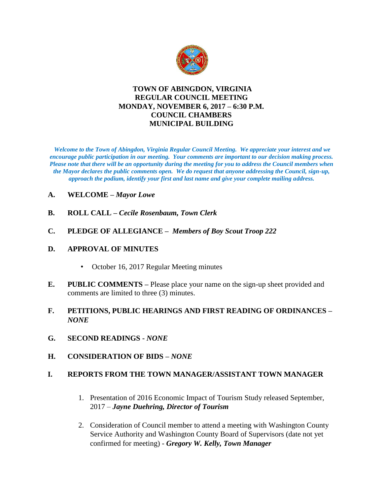

### **TOWN OF ABINGDON, VIRGINIA REGULAR COUNCIL MEETING MONDAY, NOVEMBER 6, 2017 – 6:30 P.M. COUNCIL CHAMBERS MUNICIPAL BUILDING**

*Welcome to the Town of Abingdon, Virginia Regular Council Meeting. We appreciate your interest and we encourage public participation in our meeting. Your comments are important to our decision making process. Please note that there will be an opportunity during the meeting for you to address the Council members when the Mayor declares the public comments open. We do request that anyone addressing the Council, sign-up, approach the podium, identify your first and last name and give your complete mailing address.* 

- **A. WELCOME –** *Mayor Lowe*
- **B. ROLL CALL –** *Cecile Rosenbaum, Town Clerk*
- **C. PLEDGE OF ALLEGIANCE** *Members of Boy Scout Troop 222*
- **D. APPROVAL OF MINUTES** 
	- October 16, 2017 Regular Meeting minutes
- **E. PUBLIC COMMENTS –** Please place your name on the sign-up sheet provided and comments are limited to three (3) minutes.
- **F. PETITIONS, PUBLIC HEARINGS AND FIRST READING OF ORDINANCES –** *NONE*
- **G. SECOND READINGS -** *NONE*
- **H. CONSIDERATION OF BIDS –** *NONE*

#### **I. REPORTS FROM THE TOWN MANAGER/ASSISTANT TOWN MANAGER**

- 1. Presentation of 2016 Economic Impact of Tourism Study released September, 2017 – *Jayne Duehring, Director of Tourism*
- 2. Consideration of Council member to attend a meeting with Washington County Service Authority and Washington County Board of Supervisors (date not yet confirmed for meeting) - *Gregory W. Kelly, Town Manager*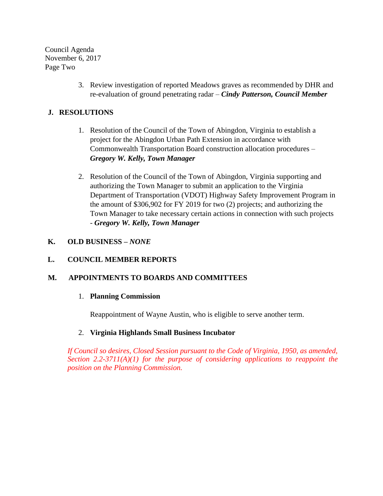Council Agenda November 6, 2017 Page Two

> 3. Review investigation of reported Meadows graves as recommended by DHR and re-evaluation of ground penetrating radar – *Cindy Patterson, Council Member*

### **J. RESOLUTIONS**

- 1. Resolution of the Council of the Town of Abingdon, Virginia to establish a project for the Abingdon Urban Path Extension in accordance with Commonwealth Transportation Board construction allocation procedures – *Gregory W. Kelly, Town Manager*
- 2. Resolution of the Council of the Town of Abingdon, Virginia supporting and authorizing the Town Manager to submit an application to the Virginia Department of Transportation (VDOT) Highway Safety Improvement Program in the amount of \$306,902 for FY 2019 for two (2) projects; and authorizing the Town Manager to take necessary certain actions in connection with such projects - *Gregory W. Kelly, Town Manager*

# **K. OLD BUSINESS –** *NONE*

# **L. COUNCIL MEMBER REPORTS**

#### **M. APPOINTMENTS TO BOARDS AND COMMITTEES**

#### 1. **Planning Commission**

Reappointment of Wayne Austin, who is eligible to serve another term.

#### 2. **Virginia Highlands Small Business Incubator**

*If Council so desires, Closed Session pursuant to the Code of Virginia, 1950, as amended, Section 2.2-3711(A)(1) for the purpose of considering applications to reappoint the position on the Planning Commission.*